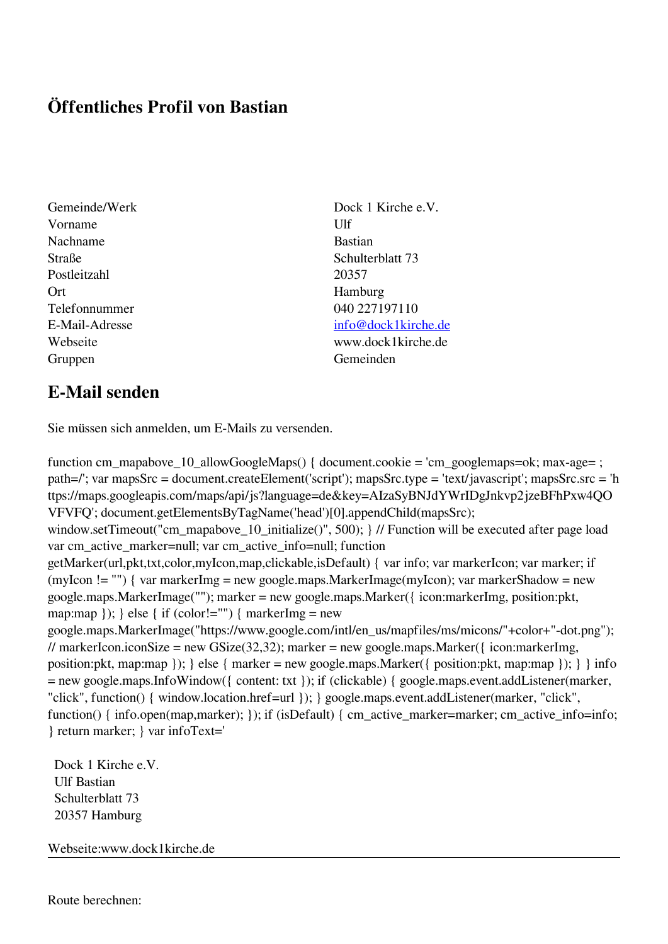## **Öffentliches Profil von Bastian**

- Vorname Ulf Nachname Bastian Straße Schulterblatt 73 Postleitzahl 20357 Ort Hamburg Telefonnummer 040 227197110 Gruppen Gemeinden
- Gemeinde/Werk Dock 1 Kirche e.V. E-Mail-Adresse [info@dock1kirche.de](mailto:info@dock1kirche.de) Webseite www.dock1kirche.de

## **E-Mail senden**

Sie müssen sich anmelden, um E-Mails zu versenden.

function cm\_mapabove\_10\_allowGoogleMaps() { document.cookie = 'cm\_googlemaps=ok; max-age= ; path=/'; var mapsSrc = document.createElement('script'); mapsSrc.type = 'text/javascript'; mapsSrc.src = 'h ttps://maps.googleapis.com/maps/api/js?language=de&key=AIzaSyBNJdYWrIDgJnkvp2jzeBFhPxw4QO VFVFQ'; document.getElementsByTagName('head')[0].appendChild(mapsSrc); window.setTimeout("cm\_mapabove\_10\_initialize()", 500); } // Function will be executed after page load var cm\_active\_marker=null; var cm\_active\_info=null; function getMarker(url,pkt,txt,color,myIcon,map,clickable,isDefault) { var info; var markerIcon; var marker; if (myIcon != "") { var markerImg = new google.maps.MarkerImage(myIcon); var markerShadow = new google.maps.MarkerImage(""); marker = new google.maps.Marker({ icon:markerImg, position:pkt, map:map  $\}$ ;  $\}$  else  $\{$  if (color!="")  $\{$  markerImg = new google.maps.MarkerImage("https://www.google.com/intl/en\_us/mapfiles/ms/micons/"+color+"-dot.png"); // markerIcon.iconSize = new GSize(32,32); marker = new google.maps.Marker({ $i$ con:markerImg, position:pkt, map:map }); } else { marker = new google.maps.Marker({ position:pkt, map:map }); } } info = new google.maps.InfoWindow({ content: txt }); if (clickable) { google.maps.event.addListener(marker, "click", function() { window.location.href=url }); } google.maps.event.addListener(marker, "click", function() { info.open(map,marker); }); if (isDefault) { cm\_active\_marker=marker; cm\_active\_info=info; } return marker; } var infoText='

 Dock 1 Kirche e.V. Ulf Bastian Schulterblatt 73 20357 Hamburg

Webseite:www.dock1kirche.de